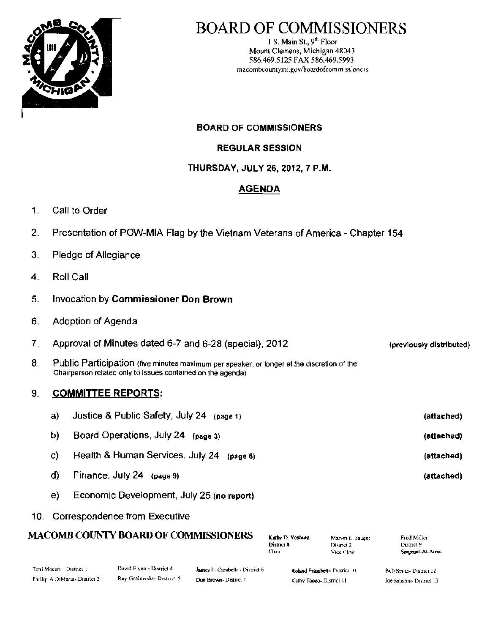

# BOARD OF COMMISSIONERS

I S. Main St., 9'" Floor Mount Clemens, Michigan 48043 586.469.5125 FAX 586.469.5993 macombcountymi.gov/boardofcommissioners

BOARD OF COMMISSIONERS

REGULAR SESSION

## THURSDAY, JULY 26, 2012, 7 P.M.

## AGENDA

- 1. Call to Order
- 2. Presentation of POW-MIA Flag by the Vietnam Veterans of America Chapter 154
- 3. Pledge of Allegiance
- 4. Roll Call
- 5. Invocation by Commissioner Don Brown
- 6. Adoption of Agenda
- 7. Approval of Minutes dated 6-7 and 6-28 (special), 2012 (previously distributed)
- $8. \quad$  Public Participation (five minutes maximum per speaker, or longer at the discretion of the  $\quad$ Chairperson related only to issues contained on the agenda)

## 9. **COMMITTEE REPORTS:**

| a) | Justice & Public Safety, July 24 (page 1)    | (attached) |
|----|----------------------------------------------|------------|
| b) | Board Operations, July 24 (page 3)           | (attached) |
| C) | Health & Human Services, July 24<br>(page 6) | (attached) |
| d) | Finance, July 24<br>(page 9)                 | (attached) |
|    |                                              |            |

- e) Economic Development, July 25 (no report)
- 10. Correspondence from Executive

## MACOMB COUNTY BOARD OF COMMISSIONERS Kathy D. Vosbarg Marvin E. Saucer

| Kathy D. Vosburg |  |
|------------------|--|
| District &       |  |
| Chair            |  |

District 2 Vice Chair

| Fred Miller      |
|------------------|
| District 9       |
| Sergeant-At-Arms |

| Toni Moceri District I        | David Flynn - District 4 | James L. Carabelli - District 6 | Roland Fraschetti-District 10 | Bob Smith-District 12     |
|-------------------------------|--------------------------|---------------------------------|-------------------------------|---------------------------|
| Phillip A DiMaria- District 3 | Ray Gralewski-District 5 | Don Brown-District 7            | Kathy Tocco- District 11      | Joe Sabatini- District 13 |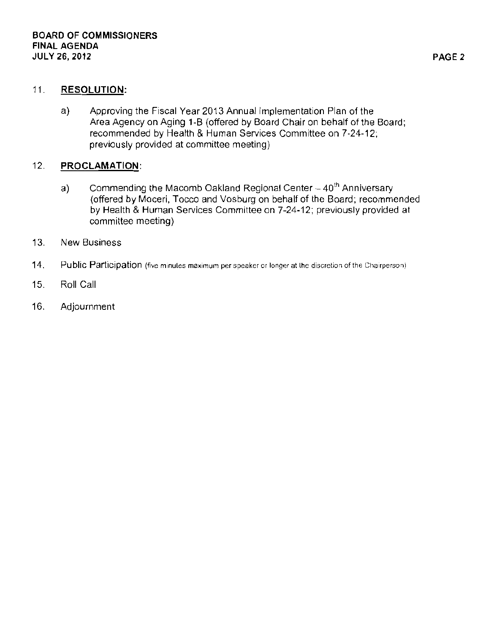## 11. RESOLUTION:

a) Approving the Fiscal Year 2013 Annual Implementation Plan of the Area Agency on Aging 1-B (offered by Board Chair on behalf of the Board; recommended by Health & Human Services Committee on 7-24-12; **previously provided at committee meeting)** 

## 12. PROCLAMATION:

- a) Commending the Macomb Oakland Regional Center -- 40<sup>th</sup> Anniversary **(offered by Moceri, Tocco and Vosburg on behalf of the Board; recommended by Health & Human Services Committee on 7-24-12; previously provided at committee meeting)**
- **13. New Business**
- 14. **Public Participation** (five minutes maximum per speaker or longer at lhe discretion of the Chairperson)
- 15. Roll Call
- 16. Adjournment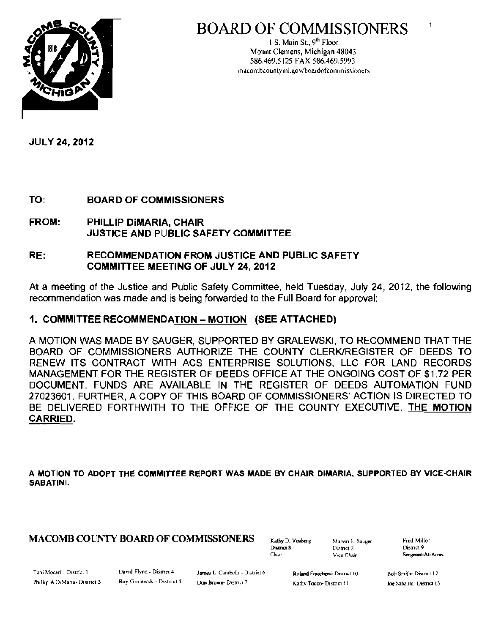

# BOARD OF COMMISSIONERS

I S. Main St., 9<sup>m</sup> Floor Mount Clemens, Michigan 48043 586.469.5125 FAX 586.469.5993 macombcountymi.gov/boardofcommissioners

JULY 24, *2012* 

TO: BOARD OF COMMISSIONERS

FROM: PHILLIP DiMARIA, CHAIR JUSTICE AND PUBLIC SAFETY COMMITTEE

## RE: RECOMMENDATION FROM JUSTICE AND PUBLIC SAFETY COMMITTEE MEETING OF JULY 24, *2012*

At a meeting of the Justice and Public Safety Committee, held Tuesday, July 24, 2012, the following recommendation was made and is being forwarded to the Full Board for approval:

## 1. COMMITTEE RECOMMENDATION – MOTION (SEE ATTACHED)

A MOTION WAS MADE BY SAUGER, SUPPORTED BY GRALEWSKI, TO RECOMMEND THAT THE BOARD OF COMMISSIONERS AUTHORIZE THE COUNTY CLERKJREGISTER OF DEEDS TO RENEW ITS CONTRACT WITH ACS ENTERPRISE SOLUTIONS, LLC FOR LAND RECORDS MANAGEMENT FOR THE REGISTER OF DEEDS OFFICE AT THE ONGOING COST OF \$1.72 PER DOCUMENT. FUNDS ARE AVAILABLE IN THE REGISTER OF DEEDS AUTOMATION FUND 27023601. FURTHER, A COPY OF THIS BOARD OF COMMISSIONERS' ACTION IS DIRECTED TO BE DELIVERED FORTHWITH TO THE OFFICE OF THE COUNTY EXECUTIVE. THE MOTION CARRIED.

A MOTION TO ADOPT THE COMMITTEE REPORT WAS MADE BY CHAIR DiMARIA, SUPPORTED BY VICE·CHAIR **SABATINI.** 

# $\textbf{MACOMB COUNTY BOARD OF COMMISSIONERS} \qquad \text{Kably D. Voshung} \qquad \text{Maurin E. Sauyer} \qquad \text{Fred Miller} \qquad \text{First} \qquad \text{First} \qquad \text{Distric1} \qquad \text{Distric1} \qquad \text{Distric1} \qquad \text{Distric1} \qquad \text{Distric2}$

District 2

Chair Vice Chair Sergeant-At-Arms

1

Toni Moceri - District 1 L) and Flynn - District 4 James L. Carabelli - District 6 Robert Rosenberg- District 10 Hob Smith- District 12

Phillip A DiMana- District 3 Ray Gralewski- District 5 Don Brown- District 7 Kathy Tocco- District 11 100: Sabatimi- District 13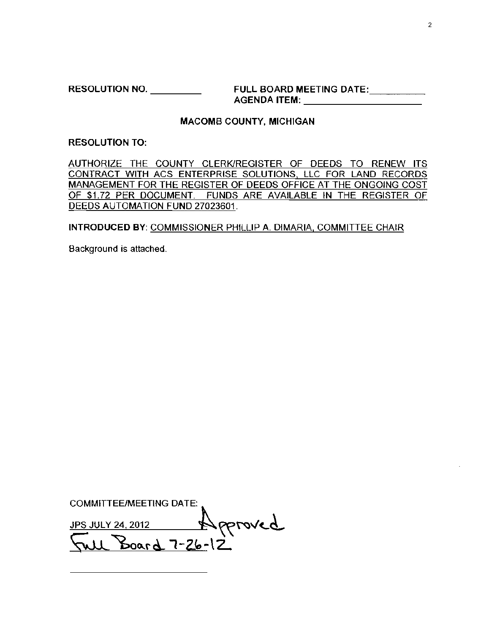RESOLUTION NO. \_\_\_\_\_\_\_\_\_\_\_\_\_ FULL BOARD MEETING DATE:\_\_\_\_\_\_\_\_\_\_\_\_ AGENDA ITEM: \_

## MACOMB COUNTY, MICHIGAN

### RESOLUTION TO:

AUTHORIZE THE COUNTY CLERK/REGISTER OF DEEDS TO RENEW ITS CONTRACT WITH ACS ENTERPRISE SOLUTIONS, LLC FOR LAND RECORDS MANAGEMENT FOR THE REGISTER OF DEEDS OFFICE AT THE ONGOING COST OF \$1.72 PER DOCUMENT. FUNDS ARE AVAILABLE IN THE REGISTER OF DEEDS AUTOMATION FUND 27023601.

## INTRODUCED BY: COMMISSIONER PHILLIP A. DIMARIA, COMMITIEE CHAIR

Background is attached.

COMMITTEE/MEETING DATE:  $JPS$  JULY 24, 2012  $N$  proved  $\sqrt{2}u \cdot \frac{3}{2} \cdot \frac{d}{2} \cdot \frac{d}{2}$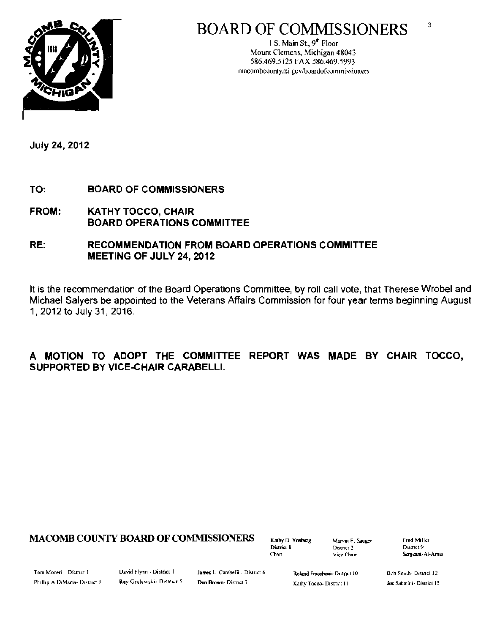

### $\overline{3}$ **BOARD OF COMMISSIONERS**

1 S. Main St.,  $9^{\text{th}}$  Floor Mount Clemens, Michigan 48043 586.469.5125 FAX 586.469.5993 macombcountymi.gov/boardofcommissioners

**July 24, 2012** 

- TO: **BOARD OF COMMISSIONERS**
- **FROM: KATHY TOCCO, CHAIR BOARD OPERATIONS COMMITTEE**
- RE: **RECOMMENDATION FROM BOARD OPERATIONS COMMITTEE** MEETING OF JULY 24, 2012

It is the recommendation of the Board Operations Committee, by roll call vote, that Therese Wrobel and Michael Salyers be appointed to the Veterans Affairs Commission for four year terms beginning August 1, 2012 to July 31, 2016.

## A MOTION TO ADOPT THE COMMITTEE REPORT WAS MADE BY CHAIR TOCCO, **SUPPORTED BY VICE-CHAIR CARABELLI.**

## **MACOMB COUNTY BOARD OF COMMISSIONERS**

Kathy D. Vosburg District 8 Chan

Marvin F. Sauger District 2 Vice Chair

Fred Miller District<sup>4</sup> Sergeant-At-Arris

Toni Moceri - District 1 Phillip A DiMaria- District 3 David Flynn - District 4 Ray Gralewski- District 5 James L. Carabelli - District 6 Don Brown-Dismet 7

Roland Frascheui- District 10 Kathy Tocco- District 11

Bob Snith-District 12 Joe Sabatini- District 13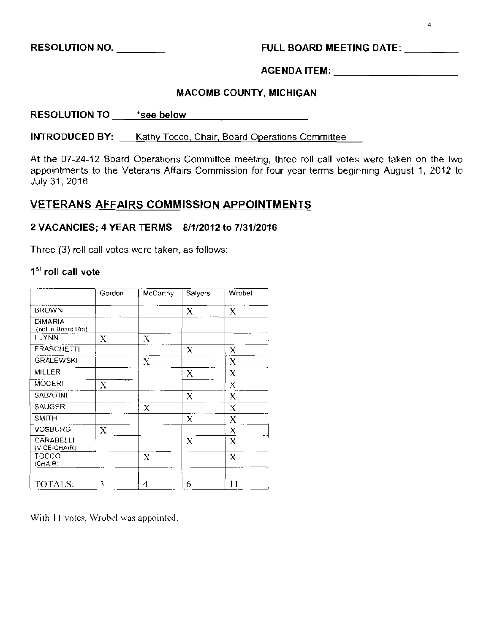RESOLUTION NO. \_ FULL BOARD MEETING DATE: \_

AGENDA ITEM: \_

## MACOMB COUNTY, MICHIGAN

RESOLUTION TO \_\_\_\_\_ \*see below

**INTRODUCED BY:** Kathy Tocco, Chair, Board Operations Committee

At the 07-24-12 Board Operations Committee meeting, three roll call votes were taken on the two appointments to the Veterans Affairs Commission for four year terms beginning August 1, 2012 to July 31,2016

## VETERANS AFFAIRS COMMISSION APPOINTMENTS

## 2 VACANCIES: 4 YEAR TERMS - 8/1/2012 to 7/31/2016

Three (3) roll call votes were taken, as follows:

## 1st **roll call vote**

|                              | Gordon                        | McCarthy | Salyers | Wrobel      |
|------------------------------|-------------------------------|----------|---------|-------------|
| <b>BROWN</b>                 |                               |          | X       | X           |
| DIMARIA<br>(not in Beard Rm) |                               |          |         |             |
| FLYNN                        | X                             | X        |         |             |
| FRASCHETTI                   |                               |          | X       | X           |
| <b>GRALEWSKI</b>             |                               | X        |         | Χ           |
| MILLER                       |                               |          | X       | X           |
| <b>MOCERI</b>                | $\overline{\phantom{a}}$<br>X |          |         | $\mathbf X$ |
| <b>SABATINI</b>              |                               |          | X       | X           |
| <b>SAUGER</b>                |                               | X        |         | X           |
| SMITH                        |                               |          | X       | X           |
| <b>VOSBURG</b>               | X                             |          |         | X           |
| CARABELLI<br>(VICE-CHAIR)    |                               |          | Х       | $\bf{X}$    |
| TOCCO<br>(CHAIR)             |                               | $\bf{X}$ |         | $\bf{X}$    |
| <b>TOTALS:</b>               | 3                             | 4        | 6       | 11          |

With 11 votes, Wrobel was appointed.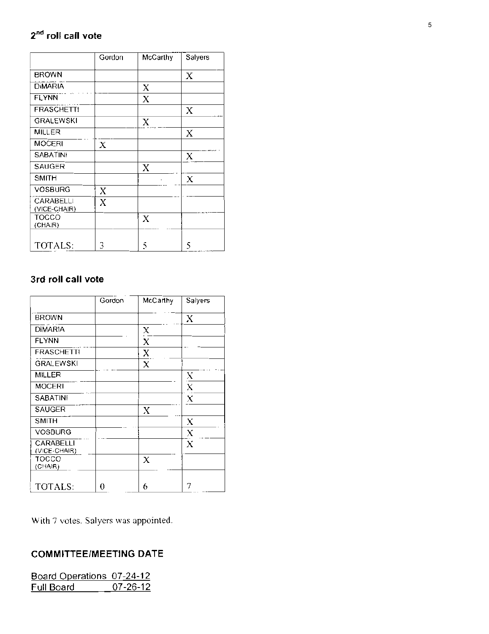## **2nd roll call vote**

|                           | Gordon | McCarthy | Salyers |
|---------------------------|--------|----------|---------|
| <b>BROWN</b>              |        |          | X       |
| <b>DIMARIA</b>            |        | X        |         |
| <b>FLYNN</b>              |        | Х        |         |
| <b>FRASCHETT!</b>         |        |          | X       |
| GRALEWSKI                 |        | X        |         |
| MILLER                    |        |          | X       |
| <b>MOCERI</b>             | X      |          |         |
| <b>SABATINI</b>           |        |          | X       |
| SAUGER                    |        | X        |         |
| <b>SMITH</b>              |        |          | X       |
| VOSBURG                   | X      |          |         |
| CARABELLI<br>(VICE-CHAIR) | X      |          |         |
| TOCCO<br>(CHAIR)          |        | X        |         |
| TOTALS:                   | 3      | 5        | 5       |

## 3rd roll call vote

|                           | Gordon | McCarthy | Salyers             |
|---------------------------|--------|----------|---------------------|
| <b>BROWN</b>              |        |          | X                   |
| <b>DiMARIA</b>            |        | X        |                     |
| <b>FLYNN</b>              |        | X        |                     |
| <b>FRASCHETTI</b>         |        | X        |                     |
| GRALEWSKI                 |        | X        |                     |
| MILLER                    |        |          | $\overline{\Delta}$ |
| <b>MOCERI</b>             |        |          | X                   |
| SABATINE                  |        |          | X                   |
| <b>SAUGER</b>             |        | X        |                     |
| <b>SMITH</b>              |        |          | X                   |
| <b>VOSBURG</b>            |        |          | Х                   |
| CARABELLI<br>(VICE-CHAIR) |        |          | X                   |
| <b>TOCCO</b><br>(CHA(R)   |        | X        |                     |
| TOTALS:                   | 0      | 6        |                     |

With 7 voles. Salyers was appointed.

## COMMITTEE/MEETING DATE

| Board Operations 07-24-12 |                |
|---------------------------|----------------|
| Full Board.               | $07 - 26 - 12$ |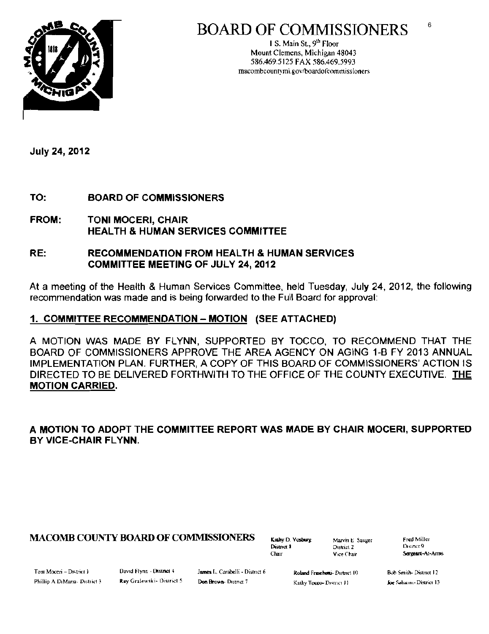



1 S. Main St.,  $9<sup>th</sup>$  Floor Mount Clemens, Michigan 48043 586.469.5125 FAX 586.469.5993 macombcountymi.gov/boardofcommissioners

**July 24, 2012** 

TO: **BOARD OF COMMISSIONERS** 

**FROM: TONI MOCERI, CHAIR HEALTH & HUMAN SERVICES COMMITTEE** 

#### RE: **RECOMMENDATION FROM HEALTH & HUMAN SERVICES COMMITTEE MEETING OF JULY 24, 2012**

At a meeting of the Health & Human Services Committee, held Tuesday, July 24, 2012, the following recommendation was made and is being forwarded to the Full Board for approval:

## 1. COMMITTEE RECOMMENDATION - MOTION (SEE ATTACHED)

A MOTION WAS MADE BY FLYNN, SUPPORTED BY TOCCO, TO RECOMMEND THAT THE BOARD OF COMMISSIONERS APPROVE THE AREA AGENCY ON AGING 1-B FY 2013 ANNUAL IMPLEMENTATION PLAN. FURTHER, A COPY OF THIS BOARD OF COMMISSIONERS' ACTION IS DIRECTED TO BE DELIVERED FORTHWITH TO THE OFFICE OF THE COUNTY EXECUTIVE. THE **MOTION CARRIED.** 

A MOTION TO ADOPT THE COMMITTEE REPORT WAS MADE BY CHAIR MOCERI, SUPPORTED BY VICE-CHAIR FLYNN.

## **MACOMB COUNTY BOARD OF COMMISSIONERS**

Kathy D. Vosburg Dismet 8 Chair

Marvin E. Sauger District<sub>2</sub> Vice Chair

**Fred Miller** District 9 Sergeant-At-Arms

 $6\phantom{1}6$ 

Tont Moceri - District I Phillip A DiMana- District 3 David Flynn - District 4 Ray Gralewski- District 5 James I., Carabelli - District 6 Don Brown-District 7

Roland Frascherti- District 10 Kathy Tocco- District 11

Bob Smith-District 12 Joe Sabatini - District 13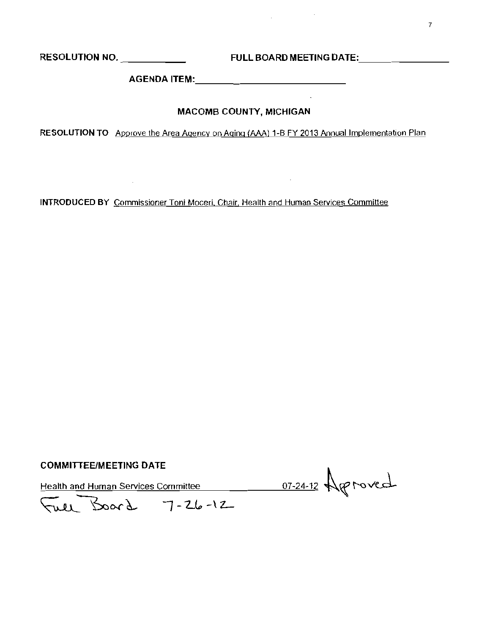**Contractor** 

 $\mathcal{L}_{\text{max}}$  and  $\mathcal{L}_{\text{max}}$  . The set of  $\mathcal{L}_{\text{max}}$ 

**Contractor** 

## MACOMB COUNTY, MICHIGAN

RESOLUTION TO Approve the Area Agency on Aging (AAA) 1-B FY 2013 Annual Implementation Plan

**INTRODUCED BY** Commissioner Toni Moceri, Chair, Health and Human Services Committee

### **COMMITTEE/MEETING DATE**

Health and Human Services Committee 11 17-24-12 Approved

Full Board 7-26-12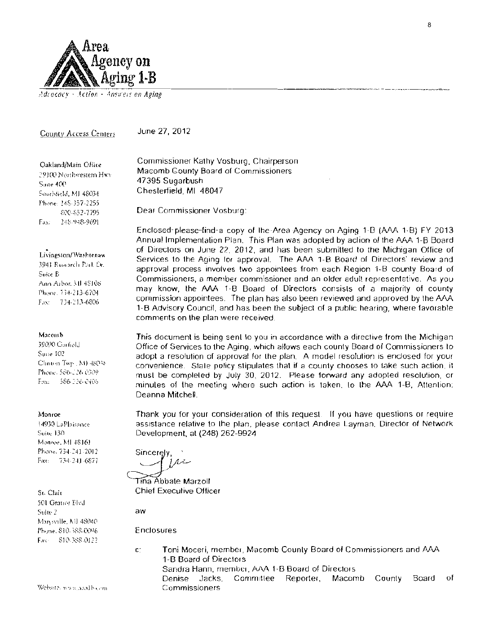

### Adrocacy - Action - Answers on Aging

### County Access Centers

June 27, 2012

Oakland/Main Ollice 79100 Northwestern Hwy Suite 400 Southfield, MJ 48034 Phone: 248-357-2255 800-852-7795 248-948-9691 Fax:

### Livingston/Washtenaw

3941 Research Park Dr. Suite B Ann Arbor, MJ 48108 Phone, 734-213-6704. Fax: 734-213-6806

### Macomb

39090 Garfield Suite 102 Clinton Twp:, M) 48038 Phone, 586-126 0309. Fax: 586-226-0405

#### Monroe

14930 LaPlaisance Suite 130 Monroe, MI 48161 Phone, 734-241-2012 Fax: 734-241-6877

St. Clair 501 Gramer Blvd Suite 2 Marysville, MJ 48040 Phone, 810-388-0096 Fax: 810-388-0122 Commissioner Kathy Vosburg, Chairperson Macomb County Board of Commissioners 47395 Sugarbush Chesterfield MI 48047

Dear Commissioner Vosburg:

Enclosed-please-find-a copy of the-Area Agency on Aging 1-B (AAA 1-B) FY 2013 Annual Implementation Plan. This Plan was adopted by action of the AAA 1-B Board of Directors on June 22, 2012, and has been submitted to the Michigan Office of Services to the Aging for approval. The AAA 1-B Board of Directors' review and approval process involves two appointees from each Region 1-B county Board of Commissioners, a member commissioner and an older adult representative. As you may know, the AAA 1-B Board of Directors consists of a majority of county commission appointees. The plan has also been reviewed and approved by the AAA 1-B Advisory Council, and has been the subject of a public hearing, where favorable comments on the plan were received.

This document is being sent to you in accordance with a directive from the Michigan Office of Services to the Aging, which allows each county Board of Commissioners to adopt a resolution of approval for the plan. A model resolution is enclosed for your convenience. State policy stipulates that if a county chooses to take such action, it must be completed by July 30, 2012. Please forward any adopted resolution, or minules of the meeting where such action is taken, to the AAA 1-B, Attention: Deanna Mitchell.

Thank you for your consideration of this request. If you have questions or require assistance relative to the plan, please contact Andrea Layman, Director of Network Development, at (248) 262-9924

Sincerely,  $1/2$ 

Tina Abbate Marzoll **Chief Executive Officer** 

aw

Enclosures

Toni Moceri, member, Macomb County Board of Commissioners and AAA  $\mathsf{C}^*$ 1-B Board of Directors Sandra Hann, member, AAA 1-B Board of Directors Jacks. Committee Reporter, Macomb Board οf Denise County Commissioners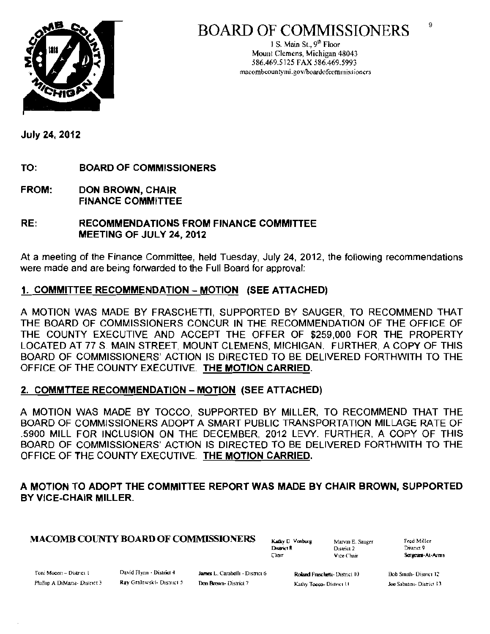



1 S. Main St.,  $9<sup>th</sup>$  Floor Mounl Clemens, Michigan 48043 586.469.5125 FAX 586.469.5993 macombcountymi.gov/boardofcommissioners

July 24, 2012

TO: BOARD OF COMMISSIONERS

FROM: DON BROWN, CHAIR FINANCE COMMITTEE

## RE: RECOMMENDATIONS FROM FINANCE COMMITTEE MEETING OF JULY 24, 2012

At a meeting of the Finance Committee, held Tuesday, July 24, 2012, the following recommendations were made and are being forwarded to the Full Board for approval:

## 1. COMMITTEE RECOMMENDATION - MOTION (SEE ATTACHED)

A MOTION WAS MADE BY FRASCHETTI, SUPPORTED BY SAUGER, TO RECOMMEND THAT THE BOARD OF COMMISSIONERS CONCUR IN THE RECOMMENDATION OF THE OFFICE OF THE COUNTY EXECUTIVE AND ACCEPT THE OFFER OF \$259,000 FOR THE PROPERTY LOCATED AT 77 S MAIN STREET, MOUNT CLEMENS, MICHIGAN. FURTHER, A COPY OF THIS BOARD OF COMMISSIONERS' ACTION IS DiRECTED TO BE DELIVERED FORTHWITH TO THE OFFICE OF THE COUNTY EXECUTIVE. THE MOTION CARRIED.

## 2. COMMTTEE RECOMMENDATION - MOTION (SEE ATTACHED)

A MOTION WAS MADE BY TOCCO, SUPPORTED BY MILLER, TO RECOMMEND THAT THE BOARD OF COMMISSIONERS ADOPT A SMART PUBLIC TRANSPORTATION MILLAGE RATE OF .5900 MILL FOR INCLUSION ON THE DECEMBER, 2012 LEVY. FURTHER, A COpy OF THIS BOARD OF COMMISSIONERS' ACTION IS DIRECTED TO BE DELIVERED FORTHWITH TO THE OFFICE OF THE COUNTY EXECUTIVE. THE MOTION CARRIED.

## A MOTION TO ADOPT THE COMMITTEE REPORT WAS MADE BY CHAIR BROWN, SUPPORTED BY VICE-CHAIR MILLER.

# $\textbf{MACOMB COUNTY BOARD OF COMMISSIONERS} \qquad \text{Kahy D Voshurg} \qquad \text{Marv in E. Sanger} \qquad \text{Fred Miller} \qquad \text{Singer} \qquad \text{Singer} \qquad \text{Singer} \qquad \text{Singer} \qquad \text{Singer} \qquad \text{Singer} \qquad \text{Singer} \qquad \text{Sverige} \qquad \text{Sverige} \qquad \text{Sverige} \qquad \text{Sverige} \qquad \text{Sverige} \qquad \text{Sverige} \qquad \text{Sverige} \qquad \text{Sverige} \qquad \text{Sverige} \qquad \text{Sverige} \qquad \text{Sverige$

District R District 2

Chair **Vice Chair Sorgeans-At-Arms** 

Toni Mocen - District I David Flynn - District 4 James L. Carabelli - District 6

Roland Fraschetti- District 10 Phillip A DiMaria- District 3 Ray Gralewski- District 5 Don Brown- District 7 Kathy Toeco- District 11 . Lee Sabatini- District 13

9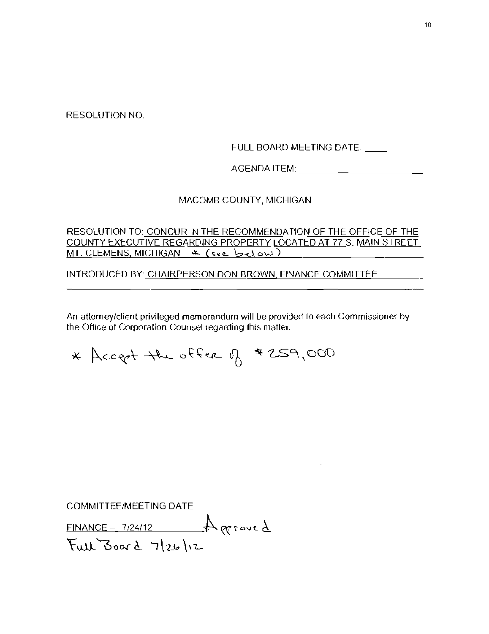RESOLUTION NO.

FULL BOARD MEETING DATE: \_\_\_\_\_\_\_\_\_\_

AGENDA ITEM: \_

### MACOMB COUNTY, MICHIGAN

RESOLUTION TO: CONCUR IN THE RECOMMENDATION OF THE OFFICE OF THE COUNTY EXECUTIVE REGARDING PROPERTY LOCATED AT 77 S. MAIN STREET,  $MT$ . CLEMENS, MICHIGAN  $\overline{\ast}$  (see below)

INTRODUCED BY: CHAIRPERSON DON BROWN, FINANCE COMMITTEE

**An attorney/client privileged memorandum will be provided La each Commissioner by the Office of Corporalion Counsel regarding Lhis matter.** 

\* Accept the offer of #259,000

COMMITTEE/MEETING DATE

 $FINANCE - 7/24/12$   $\qquad$   $\qquad$   $\qquad$   $\qquad$   $\qquad$   $\qquad$   $\qquad$   $\qquad$   $\qquad$   $\qquad$   $\qquad$   $\qquad$   $\qquad$   $\qquad$   $\qquad$   $\qquad$   $\qquad$   $\qquad$   $\qquad$   $\qquad$   $\qquad$   $\qquad$   $\qquad$   $\qquad$   $\qquad$   $\qquad$   $\qquad$   $\qquad$   $\qquad$   $\qquad$   $\qquad$   $\qquad$   $\qquad$   $\qquad$   $\$  $Full$ Board  $7|26|12$